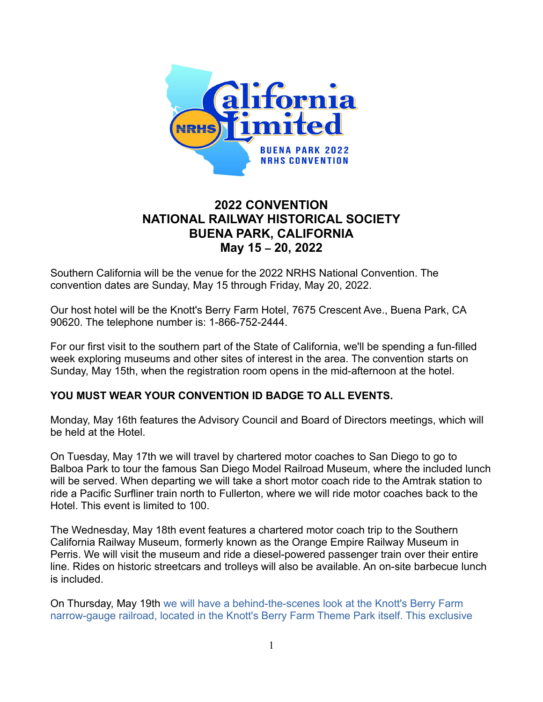

# **2022 CONVENTION NATIONAL RAILWAY HISTORICAL SOCIETY BUENA PARK, CALIFORNIA May 15 – 20, 2022**

Southern California will be the venue for the 2022 NRHS National Convention. The convention dates are Sunday, May 15 through Friday, May 20, 2022.

Our host hotel will be the Knott's Berry Farm Hotel, 7675 Crescent Ave., Buena Park, CA 90620. The telephone number is: 1-866-752-2444.

For our first visit to the southern part of the State of California, we'll be spending a fun-filled week exploring museums and other sites of interest in the area. The convention starts on Sunday, May 15th, when the registration room opens in the mid-afternoon at the hotel.

### **YOU MUST WEAR YOUR CONVENTION ID BADGE TO ALL EVENTS.**

Monday, May 16th features the Advisory Council and Board of Directors meetings, which will be held at the Hotel.

On Tuesday, May 17th we will travel by chartered motor coaches to San Diego to go to Balboa Park to tour the famous San Diego Model Railroad Museum, where the included lunch will be served. When departing we will take a short motor coach ride to the Amtrak station to ride a Pacific Surfliner train north to Fullerton, where we will ride motor coaches back to the Hotel. This event is limited to 100.

The Wednesday, May 18th event features a chartered motor coach trip to the Southern California Railway Museum, formerly known as the Orange Empire Railway Museum in Perris. We will visit the museum and ride a diesel-powered passenger train over their entire line. Rides on historic streetcars and trolleys will also be available. An on-site barbecue lunch is included.

On Thursday, May 19th we will have a behind-the-scenes look at the Knott's Berry Farm narrow-gauge railroad, located in the Knott's Berry Farm Theme Park itself. This exclusive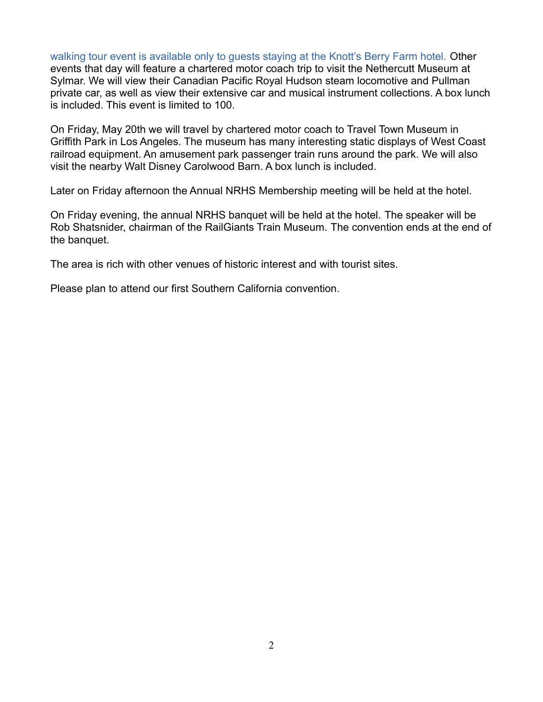walking tour event is available only to guests staying at the Knott's Berry Farm hotel. Other events that day will feature a chartered motor coach trip to visit the Nethercutt Museum at Sylmar. We will view their Canadian Pacific Royal Hudson steam locomotive and Pullman private car, as well as view their extensive car and musical instrument collections. A box lunch is included. This event is limited to 100.

On Friday, May 20th we will travel by chartered motor coach to Travel Town Museum in Griffith Park in Los Angeles. The museum has many interesting static displays of West Coast railroad equipment. An amusement park passenger train runs around the park. We will also visit the nearby Walt Disney Carolwood Barn. A box lunch is included.

Later on Friday afternoon the Annual NRHS Membership meeting will be held at the hotel.

On Friday evening, the annual NRHS banquet will be held at the hotel. The speaker will be Rob Shatsnider, chairman of the RailGiants Train Museum. The convention ends at the end of the banquet.

The area is rich with other venues of historic interest and with tourist sites.

Please plan to attend our first Southern California convention.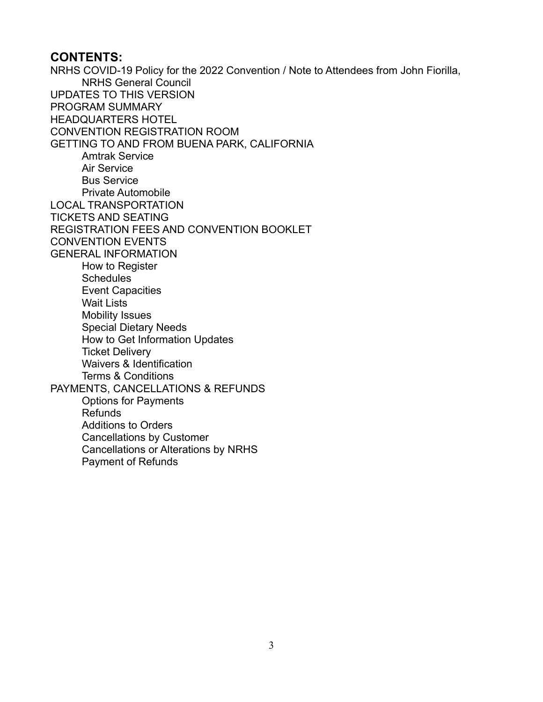### **CONTENTS:**

NRHS COVID-19 Policy for the 2022 Convention / Note to Attendees from John Fiorilla, NRHS General Council UPDATES TO THIS VERSION PROGRAM SUMMARY HEADQUARTERS HOTEL CONVENTION REGISTRATION ROOM GETTING TO AND FROM BUENA PARK, CALIFORNIA Amtrak Service Air Service Bus Service Private Automobile LOCAL TRANSPORTATION TICKETS AND SEATING REGISTRATION FEES AND CONVENTION BOOKLET CONVENTION EVENTS GENERAL INFORMATION How to Register **Schedules** Event Capacities Wait Lists Mobility Issues Special Dietary Needs How to Get Information Updates Ticket Delivery Waivers & Identification Terms & Conditions PAYMENTS, CANCELLATIONS & REFUNDS Options for Payments Refunds Additions to Orders Cancellations by Customer Cancellations or Alterations by NRHS Payment of Refunds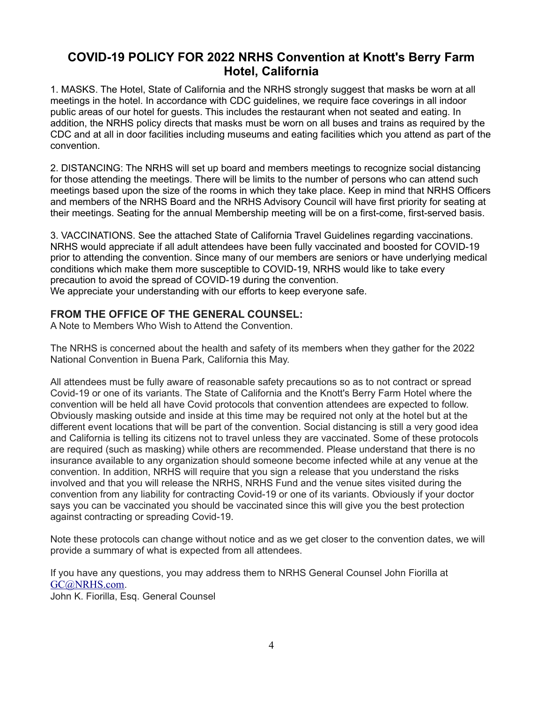# **COVID-19 POLICY FOR 2022 NRHS Convention at Knott's Berry Farm Hotel, California**

1. MASKS. The Hotel, State of California and the NRHS strongly suggest that masks be worn at all meetings in the hotel. In accordance with CDC guidelines, we require face coverings in all indoor public areas of our hotel for guests. This includes the restaurant when not seated and eating. In addition, the NRHS policy directs that masks must be worn on all buses and trains as required by the CDC and at all in door facilities including museums and eating facilities which you attend as part of the convention.

2. DISTANCING: The NRHS will set up board and members meetings to recognize social distancing for those attending the meetings. There will be limits to the number of persons who can attend such meetings based upon the size of the rooms in which they take place. Keep in mind that NRHS Officers and members of the NRHS Board and the NRHS Advisory Council will have first priority for seating at their meetings. Seating for the annual Membership meeting will be on a first-come, first-served basis.

3. VACCINATIONS. See the attached State of California Travel Guidelines regarding vaccinations. NRHS would appreciate if all adult attendees have been fully vaccinated and boosted for COVID-19 prior to attending the convention. Since many of our members are seniors or have underlying medical conditions which make them more susceptible to COVID-19, NRHS would like to take every precaution to avoid the spread of COVID-19 during the convention. We appreciate your understanding with our efforts to keep everyone safe.

### **FROM THE OFFICE OF THE GENERAL COUNSEL:**

A Note to Members Who Wish to Attend the Convention.

The NRHS is concerned about the health and safety of its members when they gather for the 2022 National Convention in Buena Park, California this May.

All attendees must be fully aware of reasonable safety precautions so as to not contract or spread Covid-19 or one of its variants. The State of California and the Knott's Berry Farm Hotel where the convention will be held all have Covid protocols that convention attendees are expected to follow. Obviously masking outside and inside at this time may be required not only at the hotel but at the different event locations that will be part of the convention. Social distancing is still a very good idea and California is telling its citizens not to travel unless they are vaccinated. Some of these protocols are required (such as masking) while others are recommended. Please understand that there is no insurance available to any organization should someone become infected while at any venue at the convention. In addition, NRHS will require that you sign a release that you understand the risks involved and that you will release the NRHS, NRHS Fund and the venue sites visited during the convention from any liability for contracting Covid-19 or one of its variants. Obviously if your doctor says you can be vaccinated you should be vaccinated since this will give you the best protection against contracting or spreading Covid-19.

Note these protocols can change without notice and as we get closer to the convention dates, we will provide a summary of what is expected from all attendees.

If you have any questions, you may address them to NRHS General Counsel John Fiorilla at [GC@NRHS.com](mailto:GC@NRHS.com). John K. Fiorilla, Esq. General Counsel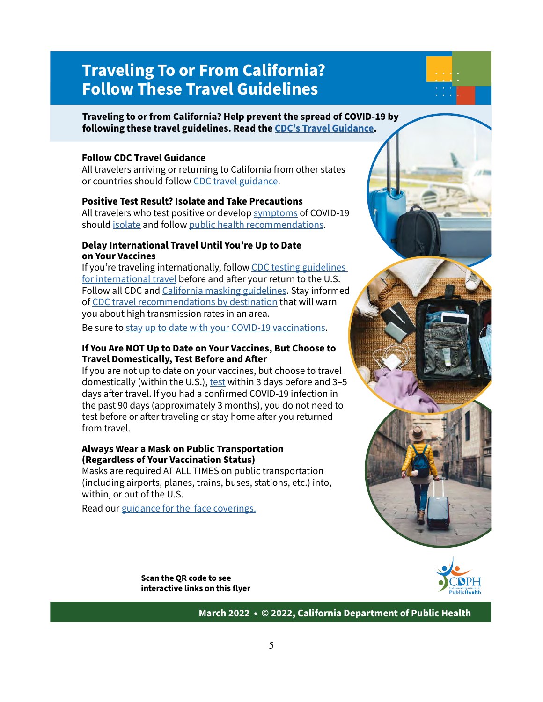# **Traveling To or From California? Follow These Travel Guidelines**

#### **Traveling to or from California? Help prevent the spread of COVID-19 by following these travel guidelines. Read the CDC's Travel Guidance.**

#### **Follow CDC Travel Guidance**

All travelers arriving or returning to California from other states or countries should follow CDC travel guidance.

#### **Positive Test Result? Isolate and Take Precautions**

All travelers who test positive or develop symptoms of COVID-19 should isolate and follow public health recommendations.

#### **Delay International Travel Until You're Up to Date on Your Vaccines**

If you're traveling internationally, follow CDC testing guidelines for international travel before and after your return to the U.S. Follow all CDC and California masking guidelines. Stay informed of CDC travel recommendations by destination that will warn you about high transmission rates in an area.

Be sure to stay up to date with your COVID-19 vaccinations.

#### **If You Are NOT Up to Date on Your Vaccines, But Choose to Travel Domestically, Test Before and After**

If you are not up to date on your vaccines, but choose to travel domestically (within the U.S.), test within 3 days before and 3-5 days after travel. If you had a confirmed COVID-19 infection in the past 90 days (approximately 3 months), you do not need to test before or after traveling or stay home after you returned from travel.

#### **Always Wear a Mask on Public Transportation (Regardless of Your Vaccination Status)**

Masks are required AT ALL TIMES on public transportation (including airports, planes, trains, buses, stations, etc.) into, within, or out of the U.S.

Read our guidance for the face coverings.

**Scan the QR code to see interactive links on this flyer**



**March 2022 • © 2022, California Department of Public Health**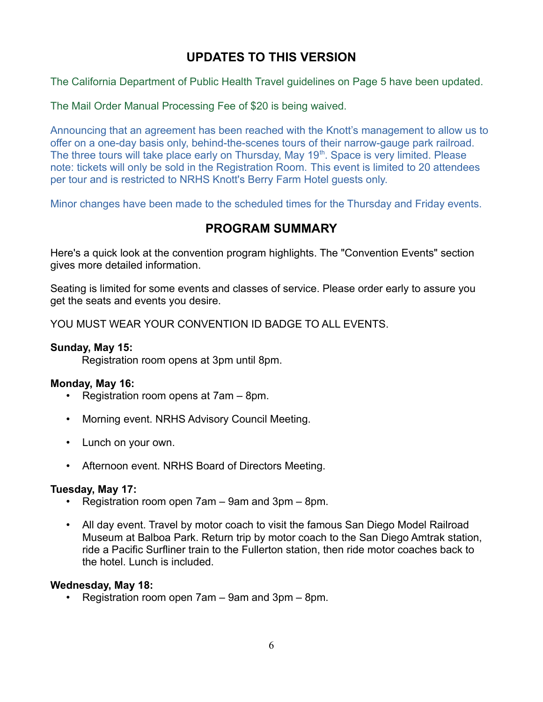# **UPDATES TO THIS VERSION**

The California Department of Public Health Travel guidelines on Page 5 have been updated.

The Mail Order Manual Processing Fee of \$20 is being waived.

Announcing that an agreement has been reached with the Knott's management to allow us to offer on a one-day basis only, behind-the-scenes tours of their narrow-gauge park railroad. The three tours will take place early on Thursday, May  $19<sup>th</sup>$ . Space is very limited. Please note: tickets will only be sold in the Registration Room. This event is limited to 20 attendees per tour and is restricted to NRHS Knott's Berry Farm Hotel guests only.

Minor changes have been made to the scheduled times for the Thursday and Friday events.

## **PROGRAM SUMMARY**

Here's a quick look at the convention program highlights. The "Convention Events" section gives more detailed information.

Seating is limited for some events and classes of service. Please order early to assure you get the seats and events you desire.

YOU MUST WEAR YOUR CONVENTION ID BADGE TO ALL EVENTS.

#### **Sunday, May 15:**

Registration room opens at 3pm until 8pm.

#### **Monday, May 16:**

- Registration room opens at 7am 8pm.
- Morning event. NRHS Advisory Council Meeting.
- Lunch on your own.
- Afternoon event. NRHS Board of Directors Meeting.

#### **Tuesday, May 17:**

- Registration room open 7am 9am and 3pm 8pm.
- All day event. Travel by motor coach to visit the famous San Diego Model Railroad Museum at Balboa Park. Return trip by motor coach to the San Diego Amtrak station, ride a Pacific Surfliner train to the Fullerton station, then ride motor coaches back to the hotel. Lunch is included.

#### **Wednesday, May 18:**

• Registration room open 7am – 9am and 3pm – 8pm.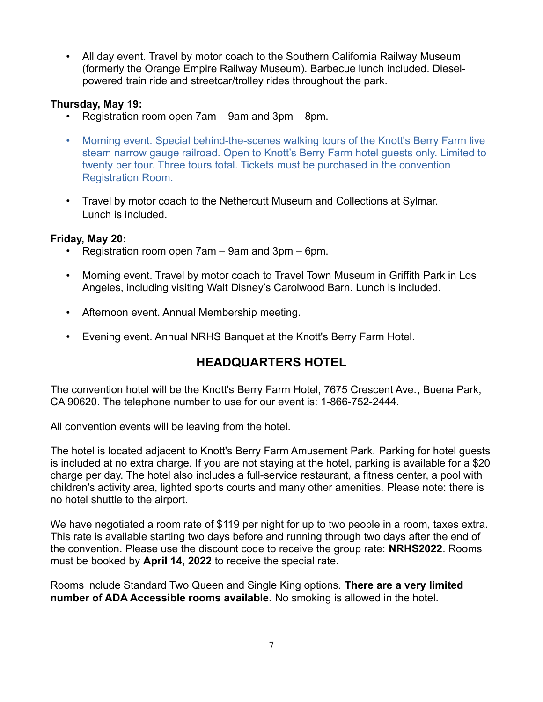• All day event. Travel by motor coach to the Southern California Railway Museum (formerly the Orange Empire Railway Museum). Barbecue lunch included. Dieselpowered train ride and streetcar/trolley rides throughout the park.

### **Thursday, May 19:**

- Registration room open 7am 9am and 3pm 8pm.
- Morning event. Special behind-the-scenes walking tours of the Knott's Berry Farm live steam narrow gauge railroad. Open to Knott's Berry Farm hotel guests only. Limited to twenty per tour. Three tours total. Tickets must be purchased in the convention Registration Room.
- Travel by motor coach to the Nethercutt Museum and Collections at Sylmar. Lunch is included.

### **Friday, May 20:**

- Registration room open 7am 9am and 3pm 6pm.
- Morning event. Travel by motor coach to Travel Town Museum in Griffith Park in Los Angeles, including visiting Walt Disney's Carolwood Barn. Lunch is included.
- Afternoon event. Annual Membership meeting.
- Evening event. Annual NRHS Banquet at the Knott's Berry Farm Hotel.

# **HEADQUARTERS HOTEL**

The convention hotel will be the Knott's Berry Farm Hotel, 7675 Crescent Ave., Buena Park, CA 90620. The telephone number to use for our event is: 1-866-752-2444.

All convention events will be leaving from the hotel.

The hotel is located adjacent to Knott's Berry Farm Amusement Park. Parking for hotel guests is included at no extra charge. If you are not staying at the hotel, parking is available for a \$20 charge per day. The hotel also includes a full-service restaurant, a fitness center, a pool with children's activity area, lighted sports courts and many other amenities. Please note: there is no hotel shuttle to the airport.

We have negotiated a room rate of \$119 per night for up to two people in a room, taxes extra. This rate is available starting two days before and running through two days after the end of the convention. Please use the discount code to receive the group rate: **NRHS2022**. Rooms must be booked by **April 14, 2022** to receive the special rate.

Rooms include Standard Two Queen and Single King options. **There are a very limited number of ADA Accessible rooms available.** No smoking is allowed in the hotel.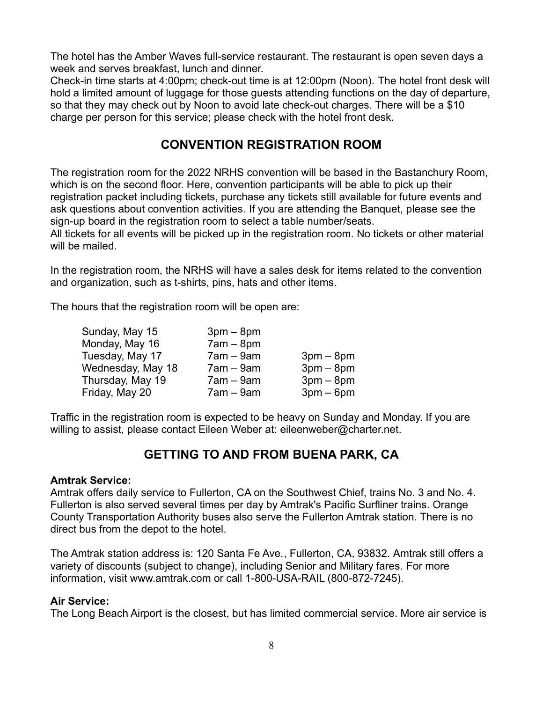The hotel has the Amber Waves full-service restaurant. The restaurant is open seven days a week and serves breakfast, lunch and dinner.

Check-in time starts at 4:00pm; check-out time is at 12:00pm (Noon). The hotel front desk will hold a limited amount of luggage for those guests attending functions on the day of departure, so that they may check out by Noon to avoid late check-out charges. There will be a \$10 charge per person for this service; please check with the hotel front desk.

# **CONVENTION REGISTRATION ROOM**

The registration room for the 2022 NRHS convention will be based in the Bastanchury Room, which is on the second floor. Here, convention participants will be able to pick up their registration packet including tickets, purchase any tickets still available for future events and ask questions about convention activities. If you are attending the Banquet, please see the sign-up board in the registration room to select a table number/seats.

All tickets for all events will be picked up in the registration room. No tickets or other material will be mailed.

In the registration room, the NRHS will have a sales desk for items related to the convention and organization, such as t-shirts, pins, hats and other items.

The hours that the registration room will be open are:

| Sunday, May 15    | $3pm-8pm$   |             |
|-------------------|-------------|-------------|
| Monday, May 16    | $7am - 8pm$ |             |
| Tuesday, May 17   | $7am - 9am$ | $3pm - 8pm$ |
| Wednesday, May 18 | $7am - 9am$ | $3pm - 8pm$ |
| Thursday, May 19  | $7am - 9am$ | $3pm - 8pm$ |
| Friday, May 20    | $7am - 9am$ | $3pm-6pm$   |

Traffic in the registration room is expected to be heavy on Sunday and Monday. If you are willing to assist, please contact Eileen Weber at: eileenweber@charter.net.

# **GETTING TO AND FROM BUENA PARK, CA**

#### **Amtrak Service:**

Amtrak offers daily service to Fullerton, CA on the Southwest Chief, trains No. 3 and No. 4. Fullerton is also served several times per day by Amtrak's Pacific Surfliner trains. Orange County Transportation Authority buses also serve the Fullerton Amtrak station. There is no direct bus from the depot to the hotel.

The Amtrak station address is: 120 Santa Fe Ave., Fullerton, CA, 93832. Amtrak still offers a variety of discounts (subject to change), including Senior and Military fares. For more information, visit www.amtrak.com or call 1-800-USA-RAIL (800-872-7245).

### **Air Service:**

The Long Beach Airport is the closest, but has limited commercial service. More air service is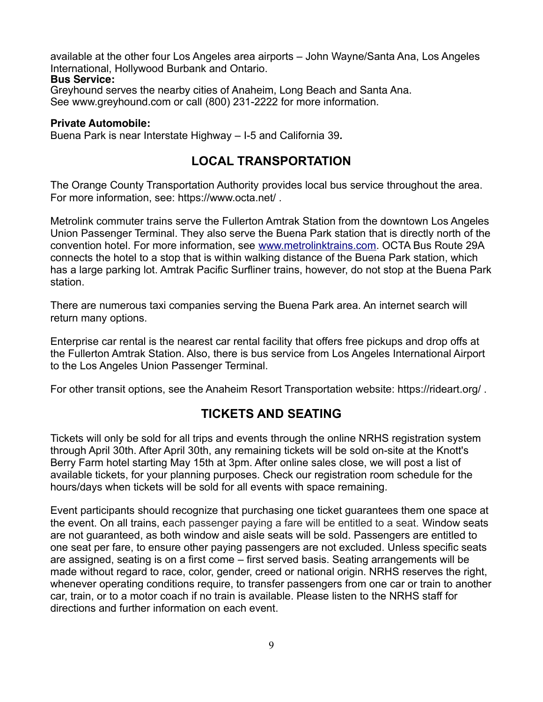available at the other four Los Angeles area airports – John Wayne/Santa Ana, Los Angeles International, Hollywood Burbank and Ontario.

### **Bus Service:**

Greyhound serves the nearby cities of Anaheim, Long Beach and Santa Ana. See www.greyhound.com or call (800) 231-2222 for more information.

### **Private Automobile:**

Buena Park is near Interstate Highway *–* I-5 and California 39*.*

### **LOCAL TRANSPORTATION**

The Orange County Transportation Authority provides local bus service throughout the area. For more information, see: https://www.octa.net/ .

Metrolink commuter trains serve the Fullerton Amtrak Station from the downtown Los Angeles Union Passenger Terminal. They also serve the Buena Park station that is directly north of the convention hotel. For more information, see [www.metrolinktrains.com](http://www.metrolinktrains.com/). OCTA Bus Route 29A connects the hotel to a stop that is within walking distance of the Buena Park station, which has a large parking lot. Amtrak Pacific Surfliner trains, however, do not stop at the Buena Park station.

There are numerous taxi companies serving the Buena Park area. An internet search will return many options.

Enterprise car rental is the nearest car rental facility that offers free pickups and drop offs at the Fullerton Amtrak Station. Also, there is bus service from Los Angeles International Airport to the Los Angeles Union Passenger Terminal.

For other transit options, see the Anaheim Resort Transportation website: https://rideart.org/ .

# **TICKETS AND SEATING**

Tickets will only be sold for all trips and events through the online NRHS registration system through April 30th. After April 30th, any remaining tickets will be sold on-site at the Knott's Berry Farm hotel starting May 15th at 3pm. After online sales close, we will post a list of available tickets, for your planning purposes. Check our registration room schedule for the hours/days when tickets will be sold for all events with space remaining.

Event participants should recognize that purchasing one ticket guarantees them one space at the event. On all trains, each passenger paying a fare will be entitled to a seat. Window seats are not guaranteed, as both window and aisle seats will be sold. Passengers are entitled to one seat per fare, to ensure other paying passengers are not excluded. Unless specific seats are assigned, seating is on a first come *–* first served basis. Seating arrangements will be made without regard to race, color, gender, creed or national origin. NRHS reserves the right, whenever operating conditions require, to transfer passengers from one car or train to another car, train, or to a motor coach if no train is available. Please listen to the NRHS staff for directions and further information on each event.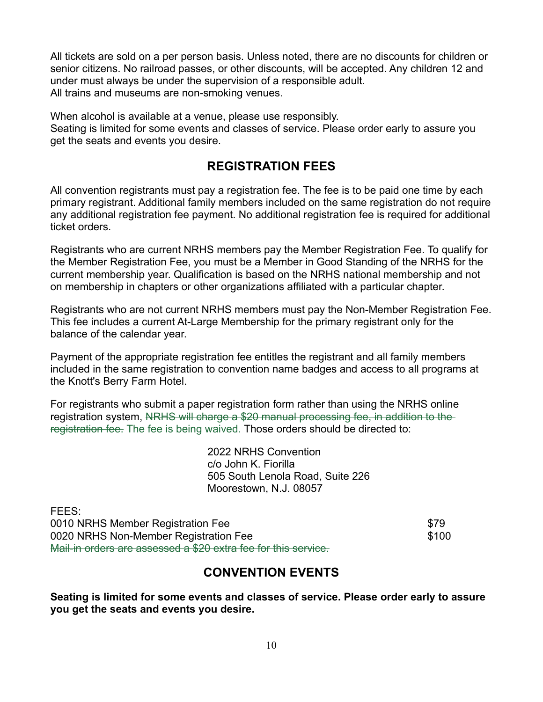All tickets are sold on a per person basis. Unless noted, there are no discounts for children or senior citizens. No railroad passes, or other discounts, will be accepted. Any children 12 and under must always be under the supervision of a responsible adult. All trains and museums are non-smoking venues.

When alcohol is available at a venue, please use responsibly.

Seating is limited for some events and classes of service. Please order early to assure you get the seats and events you desire.

### **REGISTRATION FEES**

All convention registrants must pay a registration fee. The fee is to be paid one time by each primary registrant. Additional family members included on the same registration do not require any additional registration fee payment. No additional registration fee is required for additional ticket orders.

Registrants who are current NRHS members pay the Member Registration Fee. To qualify for the Member Registration Fee, you must be a Member in Good Standing of the NRHS for the current membership year. Qualification is based on the NRHS national membership and not on membership in chapters or other organizations affiliated with a particular chapter.

Registrants who are not current NRHS members must pay the Non-Member Registration Fee. This fee includes a current At-Large Membership for the primary registrant only for the balance of the calendar year.

Payment of the appropriate registration fee entitles the registrant and all family members included in the same registration to convention name badges and access to all programs at the Knott's Berry Farm Hotel.

For registrants who submit a paper registration form rather than using the NRHS online registration system, NRHS will charge a \$20 manual processing fee, in addition to the registration fee. The fee is being waived. Those orders should be directed to:

> 2022 NRHS Convention c/o John K. Fiorilla 505 South Lenola Road, Suite 226 Moorestown, N.J. 08057

| FEES:                                                          |       |
|----------------------------------------------------------------|-------|
| 0010 NRHS Member Registration Fee                              | \$79  |
| 0020 NRHS Non-Member Registration Fee                          | \$100 |
| Mail-in orders are assessed a \$20 extra fee for this service. |       |

### **CONVENTION EVENTS**

**Seating is limited for some events and classes of service. Please order early to assure you get the seats and events you desire.**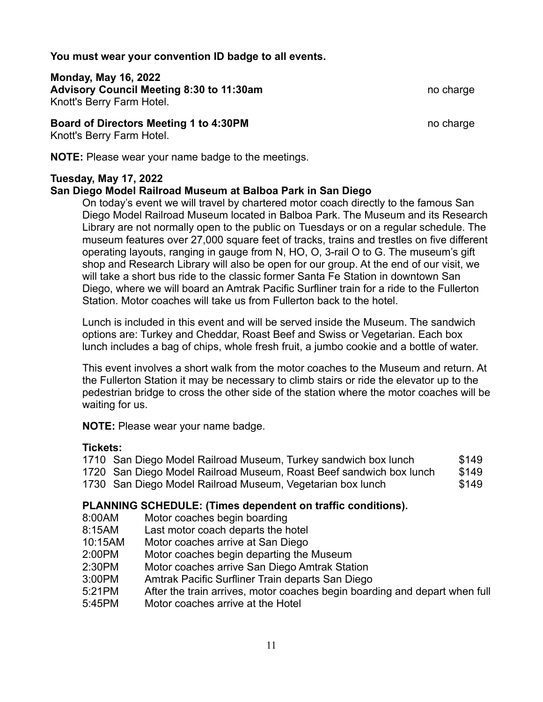**You must wear your convention ID badge to all events.**

**Monday, May 16, 2022** Advisory Council Meeting 8:30 to 11:30am no charge no charge Knott's Berry Farm Hotel.

### **Board of Directors Meeting 1 to 4:30PM** no charge no charge no charge

Knott's Berry Farm Hotel.

**NOTE:** Please wear your name badge to the meetings.

### **Tuesday, May 17, 2022**

### **San Diego Model Railroad Museum at Balboa Park in San Diego**

On today's event we will travel by chartered motor coach directly to the famous San Diego Model Railroad Museum located in Balboa Park. The Museum and its Research Library are not normally open to the public on Tuesdays or on a regular schedule. The museum features over 27,000 square feet of tracks, trains and trestles on five different operating layouts, ranging in gauge from N, HO, O, 3-rail O to G. The museum's gift shop and Research Library will also be open for our group. At the end of our visit, we will take a short bus ride to the classic former Santa Fe Station in downtown San Diego, where we will board an Amtrak Pacific Surfliner train for a ride to the Fullerton Station. Motor coaches will take us from Fullerton back to the hotel.

Lunch is included in this event and will be served inside the Museum. The sandwich options are: Turkey and Cheddar, Roast Beef and Swiss or Vegetarian. Each box lunch includes a bag of chips, whole fresh fruit, a jumbo cookie and a bottle of water.

This event involves a short walk from the motor coaches to the Museum and return. At the Fullerton Station it may be necessary to climb stairs or ride the elevator up to the pedestrian bridge to cross the other side of the station where the motor coaches will be waiting for us.

**NOTE:** Please wear your name badge.

#### **Tickets:**

| 1710 San Diego Model Railroad Museum, Turkey sandwich box lunch     | \$149 |
|---------------------------------------------------------------------|-------|
| 1720 San Diego Model Railroad Museum, Roast Beef sandwich box lunch | \$149 |
| 1730 San Diego Model Railroad Museum, Vegetarian box lunch          | \$149 |

### **PLANNING SCHEDULE: (Times dependent on traffic conditions).**

- 8:00AM Motor coaches begin boarding
- 8:15AM Last motor coach departs the hotel
- 10:15AM Motor coaches arrive at San Diego
- 2:00PM Motor coaches begin departing the Museum
- 2:30PM Motor coaches arrive San Diego Amtrak Station
- 3:00PM Amtrak Pacific Surfliner Train departs San Diego
- 5:21PM After the train arrives, motor coaches begin boarding and depart when full
- 5:45PM Motor coaches arrive at the Hotel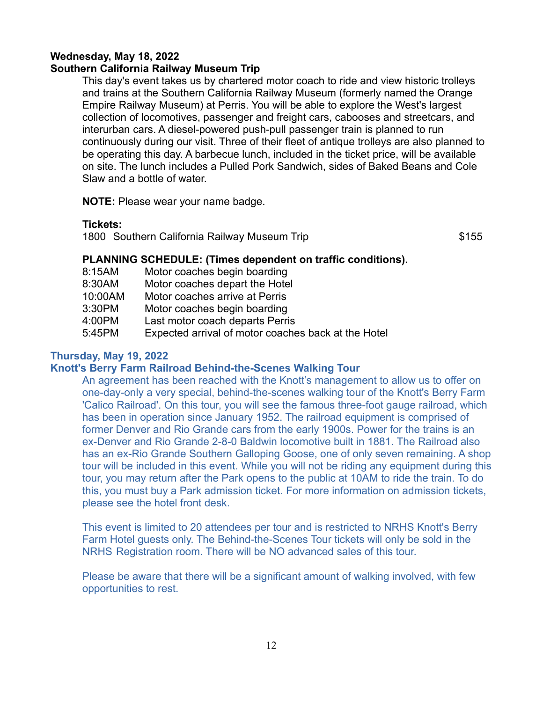### **Wednesday, May 18, 2022**

### **Southern California Railway Museum Trip**

This day's event takes us by chartered motor coach to ride and view historic trolleys and trains at the Southern California Railway Museum (formerly named the Orange Empire Railway Museum) at Perris. You will be able to explore the West's largest collection of locomotives, passenger and freight cars, cabooses and streetcars, and interurban cars. A diesel-powered push-pull passenger train is planned to run continuously during our visit. Three of their fleet of antique trolleys are also planned to be operating this day. A barbecue lunch, included in the ticket price, will be available on site. The lunch includes a Pulled Pork Sandwich, sides of Baked Beans and Cole Slaw and a bottle of water.

**NOTE:** Please wear your name badge.

**Tickets:**

1800 Southern California Railway Museum Trip  $$155$ 

### **PLANNING SCHEDULE: (Times dependent on traffic conditions).**

- 8:15AM Motor coaches begin boarding
- 8:30AM Motor coaches depart the Hotel
- 10:00AM Motor coaches arrive at Perris
- 3:30PM Motor coaches begin boarding
- 4:00PM Last motor coach departs Perris
- 5:45PM Expected arrival of motor coaches back at the Hotel

### **Thursday, May 19, 2022**

### **Knott's Berry Farm Railroad Behind-the-Scenes Walking Tour**

An agreement has been reached with the Knott's management to allow us to offer on one-day-only a very special, behind-the-scenes walking tour of the Knott's Berry Farm 'Calico Railroad'. On this tour, you will see the famous three-foot gauge railroad, which has been in operation since January 1952. The railroad equipment is comprised of former Denver and Rio Grande cars from the early 1900s. Power for the trains is an ex-Denver and Rio Grande 2-8-0 Baldwin locomotive built in 1881. The Railroad also has an ex-Rio Grande Southern Galloping Goose, one of only seven remaining. A shop tour will be included in this event. While you will not be riding any equipment during this tour, you may return after the Park opens to the public at 10AM to ride the train. To do this, you must buy a Park admission ticket. For more information on admission tickets, please see the hotel front desk.

This event is limited to 20 attendees per tour and is restricted to NRHS Knott's Berry Farm Hotel guests only. The Behind-the-Scenes Tour tickets will only be sold in the NRHS Registration room. There will be NO advanced sales of this tour.

Please be aware that there will be a significant amount of walking involved, with few opportunities to rest.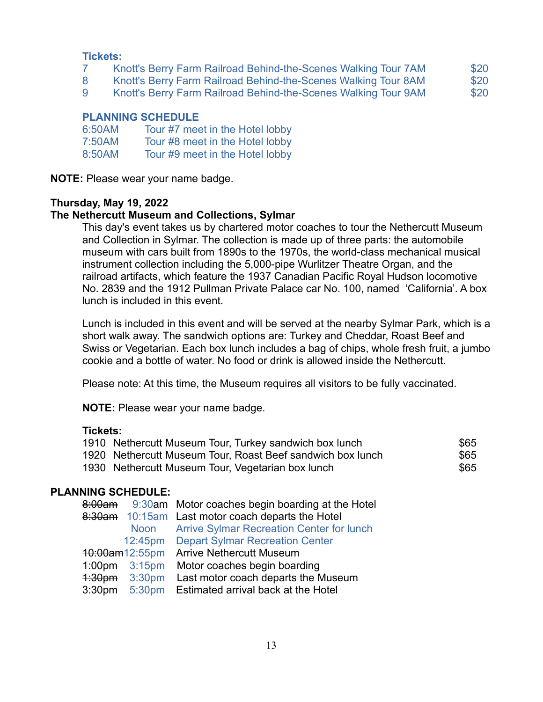#### **Tickets:**

- 7 Knott's Berry Farm Railroad Behind-the-Scenes Walking Tour 7AM \$20
- 8 Knott's Berry Farm Railroad Behind-the-Scenes Walking Tour 8AM \$20
- 9 Knott's Berry Farm Railroad Behind-the-Scenes Walking Tour 9AM \$20

### **PLANNING SCHEDULE**

| 6:50AM | Tour #7 meet in the Hotel lobby |
|--------|---------------------------------|
| 7:50AM | Tour #8 meet in the Hotel lobby |
| 8:50AM | Tour #9 meet in the Hotel lobby |

**NOTE:** Please wear your name badge.

### **Thursday, May 19, 2022**

#### **The Nethercutt Museum and Collections, Sylmar**

This day's event takes us by chartered motor coaches to tour the Nethercutt Museum and Collection in Sylmar. The collection is made up of three parts: the automobile museum with cars built from 1890s to the 1970s, the world-class mechanical musical instrument collection including the 5,000-pipe Wurlitzer Theatre Organ, and the railroad artifacts, which feature the 1937 Canadian Pacific Royal Hudson locomotive No. 2839 and the 1912 Pullman Private Palace car No. 100, named 'California'. A box lunch is included in this event.

Lunch is included in this event and will be served at the nearby Sylmar Park, which is a short walk away. The sandwich options are: Turkey and Cheddar, Roast Beef and Swiss or Vegetarian. Each box lunch includes a bag of chips, whole fresh fruit, a jumbo cookie and a bottle of water. No food or drink is allowed inside the Nethercutt.

Please note: At this time, the Museum requires all visitors to be fully vaccinated.

**NOTE:** Please wear your name badge.

#### **Tickets:**

| 1910 Nethercutt Museum Tour, Turkey sandwich box lunch     | \$65 |
|------------------------------------------------------------|------|
| 1920 Nethercutt Museum Tour, Roast Beef sandwich box lunch | \$65 |
| 1930 Nethercutt Museum Tour, Vegetarian box lunch          | \$65 |

#### **PLANNING SCHEDULE:**

| 8:00am             |                         | 9:30am Motor coaches begin boarding at the Hotel  |
|--------------------|-------------------------|---------------------------------------------------|
|                    |                         | 8:30am 10:15am Last motor coach departs the Hotel |
|                    |                         | Noon Arrive Sylmar Recreation Center for lunch    |
|                    |                         | 12:45pm Depart Sylmar Recreation Center           |
|                    |                         | 10:00am12:55pm Arrive Nethercutt Museum           |
|                    | $4:00 \text{pm}$ 3:15pm | Motor coaches begin boarding                      |
|                    | $4:30$ pm $3:30$ pm     | Last motor coach departs the Museum               |
| 3:30 <sub>pm</sub> |                         | 5:30pm Estimated arrival back at the Hotel        |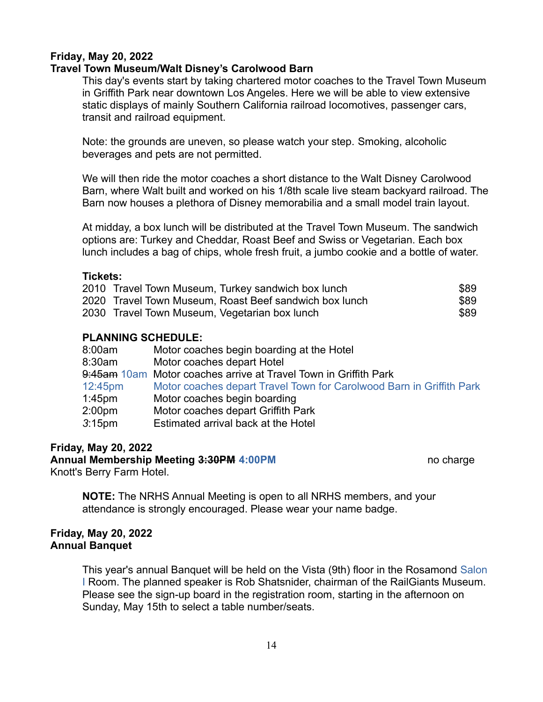### **Friday, May 20, 2022**

### **Travel Town Museum/Walt Disney's Carolwood Barn**

This day's events start by taking chartered motor coaches to the Travel Town Museum in Griffith Park near downtown Los Angeles. Here we will be able to view extensive static displays of mainly Southern California railroad locomotives, passenger cars, transit and railroad equipment.

Note: the grounds are uneven, so please watch your step. Smoking, alcoholic beverages and pets are not permitted.

We will then ride the motor coaches a short distance to the Walt Disney Carolwood Barn, where Walt built and worked on his 1/8th scale live steam backyard railroad. The Barn now houses a plethora of Disney memorabilia and a small model train layout.

At midday, a box lunch will be distributed at the Travel Town Museum. The sandwich options are: Turkey and Cheddar, Roast Beef and Swiss or Vegetarian. Each box lunch includes a bag of chips, whole fresh fruit, a jumbo cookie and a bottle of water.

#### **Tickets:**

| 2010 Travel Town Museum, Turkey sandwich box lunch     | \$89 |
|--------------------------------------------------------|------|
| 2020 Travel Town Museum, Roast Beef sandwich box lunch | \$89 |
| 2030 Travel Town Museum, Vegetarian box lunch          | \$89 |

#### **PLANNING SCHEDULE:**

| Motor coaches begin boarding at the Hotel                            |
|----------------------------------------------------------------------|
| Motor coaches depart Hotel                                           |
| 9:45am 10am Motor coaches arrive at Travel Town in Griffith Park     |
| Motor coaches depart Travel Town for Carolwood Barn in Griffith Park |
| Motor coaches begin boarding                                         |
| Motor coaches depart Griffith Park                                   |
| Estimated arrival back at the Hotel                                  |
|                                                                      |

#### **Friday, May 20, 2022**

**Annual Membership Meeting 3:30PM 4:00PM** no charge no charge Knott's Berry Farm Hotel.

**NOTE:** The NRHS Annual Meeting is open to all NRHS members, and your attendance is strongly encouraged. Please wear your name badge.

#### **Friday, May 20, 2022 Annual Banquet**

This year's annual Banquet will be held on the Vista (9th) floor in the Rosamond Salon I Room. The planned speaker is Rob Shatsnider, chairman of the RailGiants Museum. Please see the sign-up board in the registration room, starting in the afternoon on Sunday, May 15th to select a table number/seats.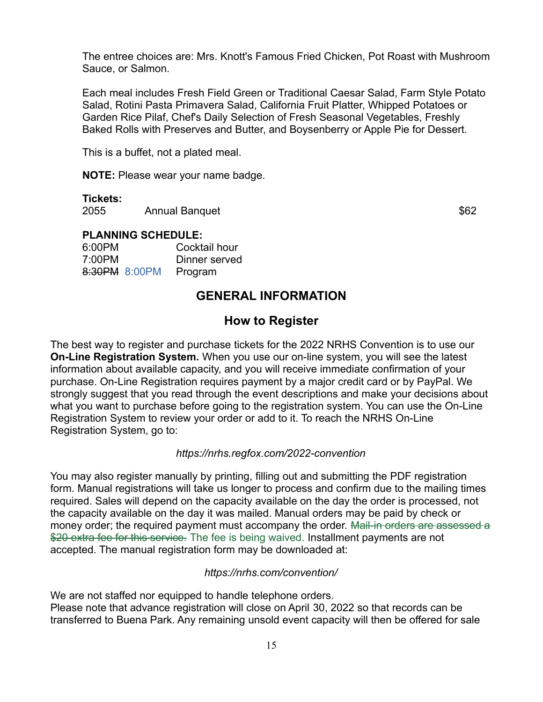The entree choices are: Mrs. Knott's Famous Fried Chicken, Pot Roast with Mushroom Sauce, or Salmon.

Each meal includes Fresh Field Green or Traditional Caesar Salad, Farm Style Potato Salad, Rotini Pasta Primavera Salad, California Fruit Platter, Whipped Potatoes or Garden Rice Pilaf, Chef's Daily Selection of Fresh Seasonal Vegetables, Freshly Baked Rolls with Preserves and Butter, and Boysenberry or Apple Pie for Dessert.

This is a buffet, not a plated meal.

**NOTE:** Please wear your name badge.

#### **Tickets:**

2055 Annual Banquet **\$62** 

### **PLANNING SCHEDULE:**

| 6:00PM        | Cocktail hour |
|---------------|---------------|
| 7:00PM        | Dinner served |
| 8:30PM 8:00PM | Program       |

# **GENERAL INFORMATION**

### **How to Register**

The best way to register and purchase tickets for the 2022 NRHS Convention is to use our **On-Line Registration System.** When you use our on-line system, you will see the latest information about available capacity, and you will receive immediate confirmation of your purchase. On-Line Registration requires payment by a major credit card or by PayPal. We strongly suggest that you read through the event descriptions and make your decisions about what you want to purchase before going to the registration system. You can use the On-Line Registration System to review your order or add to it. To reach the NRHS On-Line Registration System, go to:

### *https://nrhs.regfox.com/2022-convention*

You may also register manually by printing, filling out and submitting the PDF registration form. Manual registrations will take us longer to process and confirm due to the mailing times required. Sales will depend on the capacity available on the day the order is processed, not the capacity available on the day it was mailed. Manual orders may be paid by check or money order; the required payment must accompany the order. Mail-in orders are assessed a \$20 extra fee for this service. The fee is being waived. Installment payments are not accepted. The manual registration form may be downloaded at:

#### *https://nrhs.com/convention/*

We are not staffed nor equipped to handle telephone orders. Please note that advance registration will close on April 30, 2022 so that records can be transferred to Buena Park. Any remaining unsold event capacity will then be offered for sale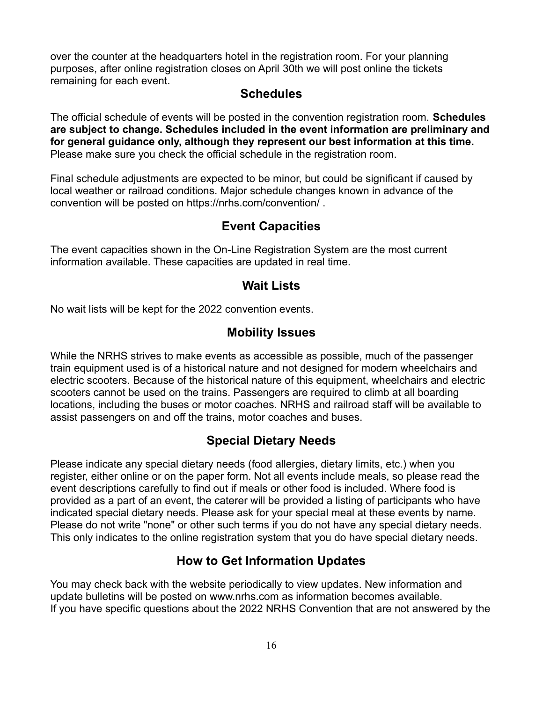over the counter at the headquarters hotel in the registration room. For your planning purposes, after online registration closes on April 30th we will post online the tickets remaining for each event.

### **Schedules**

The official schedule of events will be posted in the convention registration room. **Schedules are subject to change. Schedules included in the event information are preliminary and for general guidance only, although they represent our best information at this time.** Please make sure you check the official schedule in the registration room.

Final schedule adjustments are expected to be minor, but could be significant if caused by local weather or railroad conditions. Major schedule changes known in advance of the convention will be posted on https://nrhs.com/convention/ .

# **Event Capacities**

The event capacities shown in the On-Line Registration System are the most current information available. These capacities are updated in real time.

# **Wait Lists**

No wait lists will be kept for the 2022 convention events.

# **Mobility Issues**

While the NRHS strives to make events as accessible as possible, much of the passenger train equipment used is of a historical nature and not designed for modern wheelchairs and electric scooters. Because of the historical nature of this equipment, wheelchairs and electric scooters cannot be used on the trains. Passengers are required to climb at all boarding locations, including the buses or motor coaches. NRHS and railroad staff will be available to assist passengers on and off the trains, motor coaches and buses.

# **Special Dietary Needs**

Please indicate any special dietary needs (food allergies, dietary limits, etc.) when you register, either online or on the paper form. Not all events include meals, so please read the event descriptions carefully to find out if meals or other food is included. Where food is provided as a part of an event, the caterer will be provided a listing of participants who have indicated special dietary needs. Please ask for your special meal at these events by name. Please do not write "none" or other such terms if you do not have any special dietary needs. This only indicates to the online registration system that you do have special dietary needs.

# **How to Get Information Updates**

You may check back with the website periodically to view updates. New information and update bulletins will be posted on www.nrhs.com as information becomes available. If you have specific questions about the 2022 NRHS Convention that are not answered by the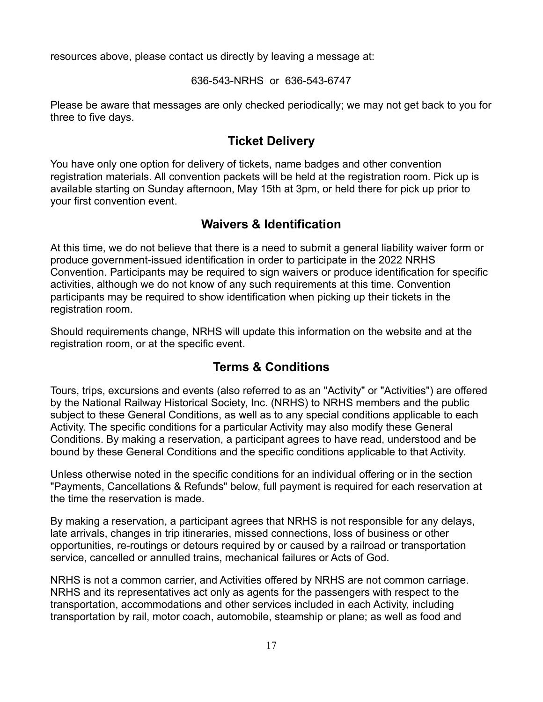resources above, please contact us directly by leaving a message at:

636-543-NRHS or 636-543-6747

Please be aware that messages are only checked periodically; we may not get back to you for three to five days.

# **Ticket Delivery**

You have only one option for delivery of tickets, name badges and other convention registration materials. All convention packets will be held at the registration room. Pick up is available starting on Sunday afternoon, May 15th at 3pm, or held there for pick up prior to your first convention event.

# **Waivers & Identification**

At this time, we do not believe that there is a need to submit a general liability waiver form or produce government-issued identification in order to participate in the 2022 NRHS Convention. Participants may be required to sign waivers or produce identification for specific activities, although we do not know of any such requirements at this time. Convention participants may be required to show identification when picking up their tickets in the registration room.

Should requirements change, NRHS will update this information on the website and at the registration room, or at the specific event.

# **Terms & Conditions**

Tours, trips, excursions and events (also referred to as an "Activity" or "Activities") are offered by the National Railway Historical Society, Inc. (NRHS) to NRHS members and the public subject to these General Conditions, as well as to any special conditions applicable to each Activity. The specific conditions for a particular Activity may also modify these General Conditions. By making a reservation, a participant agrees to have read, understood and be bound by these General Conditions and the specific conditions applicable to that Activity.

Unless otherwise noted in the specific conditions for an individual offering or in the section "Payments, Cancellations & Refunds" below, full payment is required for each reservation at the time the reservation is made.

By making a reservation, a participant agrees that NRHS is not responsible for any delays, late arrivals, changes in trip itineraries, missed connections, loss of business or other opportunities, re-routings or detours required by or caused by a railroad or transportation service, cancelled or annulled trains, mechanical failures or Acts of God.

NRHS is not a common carrier, and Activities offered by NRHS are not common carriage. NRHS and its representatives act only as agents for the passengers with respect to the transportation, accommodations and other services included in each Activity, including transportation by rail, motor coach, automobile, steamship or plane; as well as food and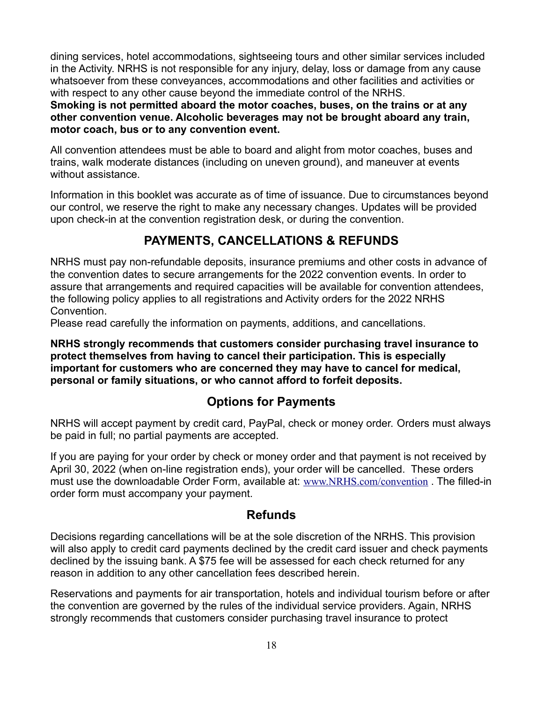dining services, hotel accommodations, sightseeing tours and other similar services included in the Activity. NRHS is not responsible for any injury, delay, loss or damage from any cause whatsoever from these conveyances, accommodations and other facilities and activities or with respect to any other cause beyond the immediate control of the NRHS.

**Smoking is not permitted aboard the motor coaches, buses, on the trains or at any other convention venue. Alcoholic beverages may not be brought aboard any train, motor coach, bus or to any convention event.**

All convention attendees must be able to board and alight from motor coaches, buses and trains, walk moderate distances (including on uneven ground), and maneuver at events without assistance.

Information in this booklet was accurate as of time of issuance. Due to circumstances beyond our control, we reserve the right to make any necessary changes. Updates will be provided upon check-in at the convention registration desk, or during the convention.

# **PAYMENTS, CANCELLATIONS & REFUNDS**

NRHS must pay non-refundable deposits, insurance premiums and other costs in advance of the convention dates to secure arrangements for the 2022 convention events. In order to assure that arrangements and required capacities will be available for convention attendees, the following policy applies to all registrations and Activity orders for the 2022 NRHS Convention.

Please read carefully the information on payments, additions, and cancellations.

**NRHS strongly recommends that customers consider purchasing travel insurance to protect themselves from having to cancel their participation. This is especially important for customers who are concerned they may have to cancel for medical, personal or family situations, or who cannot afford to forfeit deposits.**

# **Options for Payments**

NRHS will accept payment by credit card, PayPal, check or money order. Orders must always be paid in full; no partial payments are accepted.

If you are paying for your order by check or money order and that payment is not received by April 30, 2022 (when on-line registration ends), your order will be cancelled. These orders must use the downloadable Order Form, available at: [www.NRHS.com/convention](https://www.NRHS.com/convention) . The filled-in order form must accompany your payment.

### **Refunds**

Decisions regarding cancellations will be at the sole discretion of the NRHS. This provision will also apply to credit card payments declined by the credit card issuer and check payments declined by the issuing bank. A \$75 fee will be assessed for each check returned for any reason in addition to any other cancellation fees described herein.

Reservations and payments for air transportation, hotels and individual tourism before or after the convention are governed by the rules of the individual service providers. Again, NRHS strongly recommends that customers consider purchasing travel insurance to protect